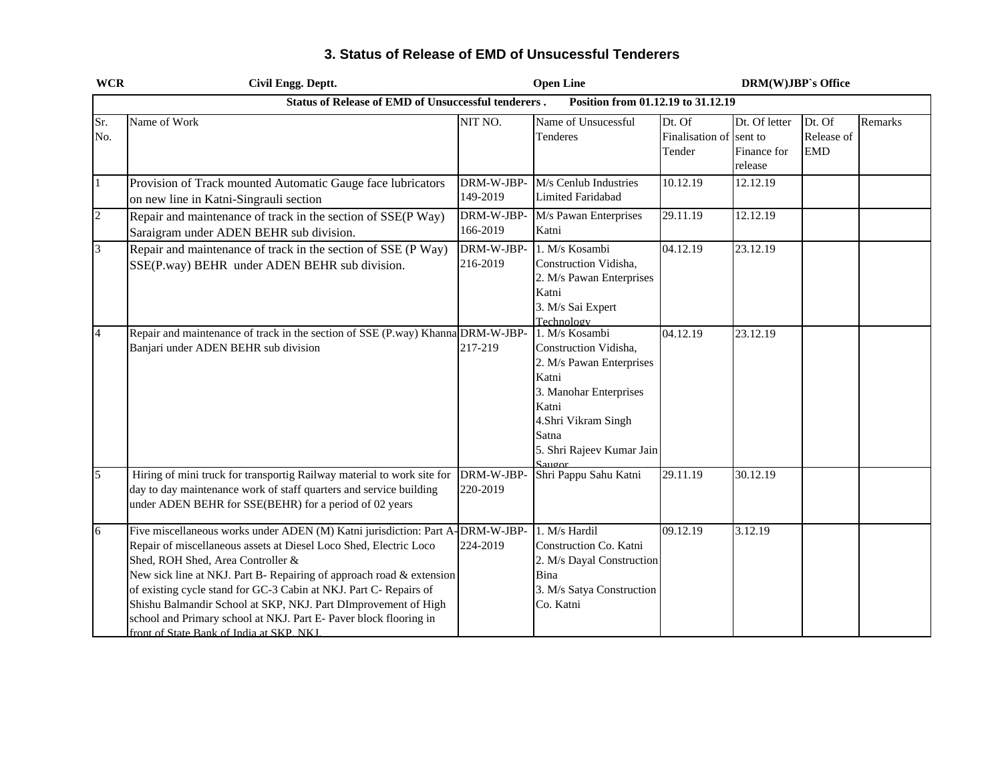| <b>WCR</b>     | Civil Engg. Deptt.                                                                                                                                                                                                                                                                                                                                                                                                                                                                                          |                         | <b>Open Line</b>                                                                                                                                                                            |                                             | <b>DRM(W)JBP's Office</b>               |                                    |         |
|----------------|-------------------------------------------------------------------------------------------------------------------------------------------------------------------------------------------------------------------------------------------------------------------------------------------------------------------------------------------------------------------------------------------------------------------------------------------------------------------------------------------------------------|-------------------------|---------------------------------------------------------------------------------------------------------------------------------------------------------------------------------------------|---------------------------------------------|-----------------------------------------|------------------------------------|---------|
|                | <b>Status of Release of EMD of Unsuccessful tenderers.</b>                                                                                                                                                                                                                                                                                                                                                                                                                                                  |                         | Position from 01.12.19 to 31.12.19                                                                                                                                                          |                                             |                                         |                                    |         |
| Sr.<br>No.     | Name of Work                                                                                                                                                                                                                                                                                                                                                                                                                                                                                                | NIT NO.                 | Name of Unsucessful<br>Tenderes                                                                                                                                                             | Dt. Of<br>Finalisation of sent to<br>Tender | Dt. Of letter<br>Finance for<br>release | Dt. Of<br>Release of<br><b>EMD</b> | Remarks |
| $\mathbf{1}$   | Provision of Track mounted Automatic Gauge face lubricators<br>on new line in Katni-Singrauli section                                                                                                                                                                                                                                                                                                                                                                                                       | DRM-W-JBP-<br>149-2019  | M/s Cenlub Industries<br><b>Limited Faridabad</b>                                                                                                                                           | 10.12.19                                    | 12.12.19                                |                                    |         |
| $\overline{2}$ | Repair and maintenance of track in the section of SSE(P Way)<br>Saraigram under ADEN BEHR sub division.                                                                                                                                                                                                                                                                                                                                                                                                     | DRM-W-JBP-<br>166-2019  | M/s Pawan Enterprises<br>Katni                                                                                                                                                              | 29.11.19                                    | 12.12.19                                |                                    |         |
| $\overline{3}$ | Repair and maintenance of track in the section of SSE (P Way)<br>SSE(P.way) BEHR under ADEN BEHR sub division.                                                                                                                                                                                                                                                                                                                                                                                              | DRM-W-JBP-<br>216-2019  | 1. M/s Kosambi<br>Construction Vidisha,<br>2. M/s Pawan Enterprises<br>Katni<br>3. M/s Sai Expert<br>Technology                                                                             | 04.12.19                                    | 23.12.19                                |                                    |         |
| $\overline{4}$ | Repair and maintenance of track in the section of SSE (P.way) Khanna DRM-W-JBP-<br>Banjari under ADEN BEHR sub division                                                                                                                                                                                                                                                                                                                                                                                     | 217-219                 | 1. M/s Kosambi<br>Construction Vidisha,<br>2. M/s Pawan Enterprises<br>Katni<br>3. Manohar Enterprises<br>Katni<br>4.Shri Vikram Singh<br>Satna<br>5. Shri Rajeev Kumar Jain<br>$S_{31100}$ | 04.12.19                                    | 23.12.19                                |                                    |         |
| 5              | Hiring of mini truck for transportig Railway material to work site for<br>day to day maintenance work of staff quarters and service building<br>under ADEN BEHR for SSE(BEHR) for a period of 02 years                                                                                                                                                                                                                                                                                                      | DRM-W-JBP-<br>220-2019  | Shri Pappu Sahu Katni                                                                                                                                                                       | 29.11.19                                    | 30.12.19                                |                                    |         |
| 6              | Five miscellaneous works under ADEN (M) Katni jurisdiction: Part A<br>Repair of miscellaneous assets at Diesel Loco Shed, Electric Loco<br>Shed, ROH Shed, Area Controller &<br>New sick line at NKJ. Part B- Repairing of approach road & extension<br>of existing cycle stand for GC-3 Cabin at NKJ. Part C- Repairs of<br>Shishu Balmandir School at SKP, NKJ. Part DImprovement of High<br>school and Primary school at NKJ. Part E- Paver block flooring in<br>front of State Bank of India at SKP NKI | -DRM-W-JBP-<br>224-2019 | 1. M/s Hardil<br>Construction Co. Katni<br>2. M/s Dayal Construction<br>Bina<br>3. M/s Satya Construction<br>Co. Katni                                                                      | 09.12.19                                    | 3.12.19                                 |                                    |         |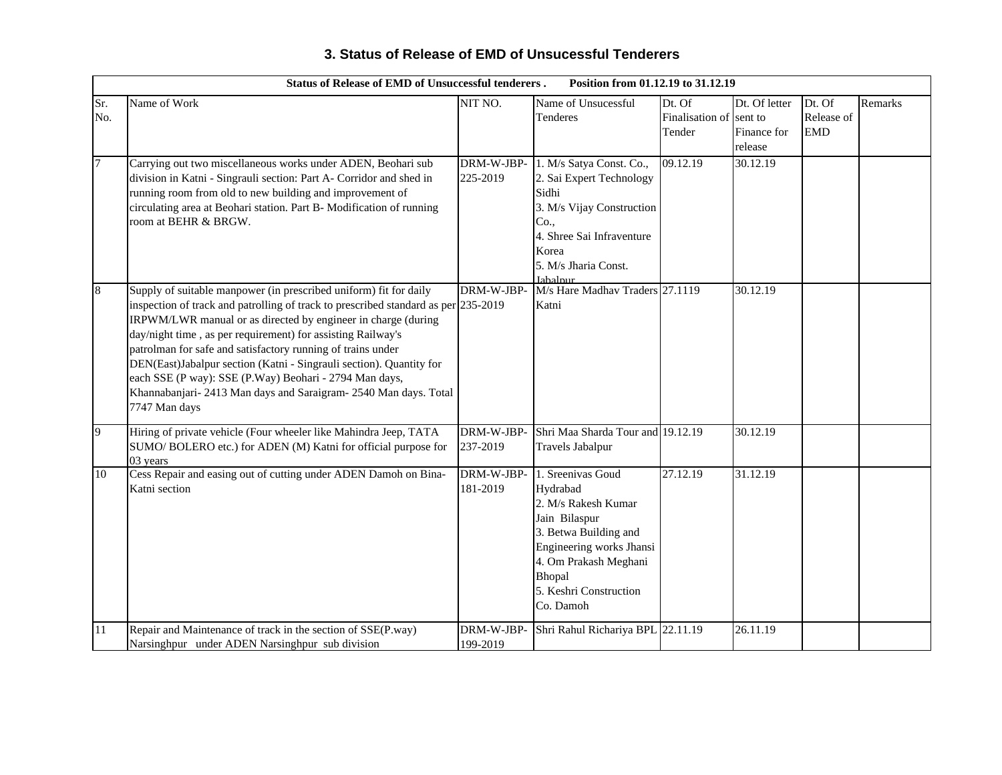|            | <b>Status of Release of EMD of Unsuccessful tenderers.</b><br>Position from 01.12.19 to 31.12.19                                                                                                                                                                                                                                                                                                                                                                                                                                                                             |                        |                                                                                                                                                                                                      |                                     |                                                    |                                    |         |  |  |
|------------|------------------------------------------------------------------------------------------------------------------------------------------------------------------------------------------------------------------------------------------------------------------------------------------------------------------------------------------------------------------------------------------------------------------------------------------------------------------------------------------------------------------------------------------------------------------------------|------------------------|------------------------------------------------------------------------------------------------------------------------------------------------------------------------------------------------------|-------------------------------------|----------------------------------------------------|------------------------------------|---------|--|--|
| Sr.<br>No. | Name of Work                                                                                                                                                                                                                                                                                                                                                                                                                                                                                                                                                                 | NIT NO.                | Name of Unsucessful<br>Tenderes                                                                                                                                                                      | Dt. Of<br>Finalisation of<br>Tender | Dt. Of letter<br>sent to<br>Finance for<br>release | Dt. Of<br>Release of<br><b>EMD</b> | Remarks |  |  |
| $\tau$     | Carrying out two miscellaneous works under ADEN, Beohari sub<br>division in Katni - Singrauli section: Part A- Corridor and shed in<br>running room from old to new building and improvement of<br>circulating area at Beohari station. Part B- Modification of running<br>room at BEHR & BRGW.                                                                                                                                                                                                                                                                              | DRM-W-JBP-<br>225-2019 | 1. M/s Satya Const. Co.,<br>2. Sai Expert Technology<br>Sidhi<br>3. M/s Vijay Construction<br>Co.,<br>4. Shree Sai Infraventure<br>Korea<br>5. M/s Jharia Const.<br><b>Iahalnur</b>                  | 09.12.19                            | 30.12.19                                           |                                    |         |  |  |
| 8          | Supply of suitable manpower (in prescribed uniform) fit for daily<br>inspection of track and patrolling of track to prescribed standard as per 235-2019<br>IRPWM/LWR manual or as directed by engineer in charge (during<br>day/night time, as per requirement) for assisting Railway's<br>patrolman for safe and satisfactory running of trains under<br>DEN(East)Jabalpur section (Katni - Singrauli section). Quantity for<br>each SSE (P way): SSE (P.Way) Beohari - 2794 Man days,<br>Khannabanjari- 2413 Man days and Saraigram- 2540 Man days. Total<br>7747 Man days | DRM-W-JBP-             | M/s Hare Madhav Traders 27.1119<br>Katni                                                                                                                                                             |                                     | 30.12.19                                           |                                    |         |  |  |
| 9          | Hiring of private vehicle (Four wheeler like Mahindra Jeep, TATA<br>SUMO/ BOLERO etc.) for ADEN (M) Katni for official purpose for<br>03 years                                                                                                                                                                                                                                                                                                                                                                                                                               | DRM-W-JBP-<br>237-2019 | Shri Maa Sharda Tour and 19.12.19<br><b>Travels Jabalpur</b>                                                                                                                                         |                                     | 30.12.19                                           |                                    |         |  |  |
| 10         | Cess Repair and easing out of cutting under ADEN Damoh on Bina-<br>Katni section                                                                                                                                                                                                                                                                                                                                                                                                                                                                                             | DRM-W-JBP-<br>181-2019 | 1. Sreenivas Goud<br>Hydrabad<br>2. M/s Rakesh Kumar<br>Jain Bilaspur<br>3. Betwa Building and<br>Engineering works Jhansi<br>4. Om Prakash Meghani<br>Bhopal<br>5. Keshri Construction<br>Co. Damoh | 27.12.19                            | 31.12.19                                           |                                    |         |  |  |
| 11         | Repair and Maintenance of track in the section of SSE(P.way)<br>Narsinghpur under ADEN Narsinghpur sub division                                                                                                                                                                                                                                                                                                                                                                                                                                                              | DRM-W-JBP-<br>199-2019 | Shri Rahul Richariya BPL 22.11.19                                                                                                                                                                    |                                     | 26.11.19                                           |                                    |         |  |  |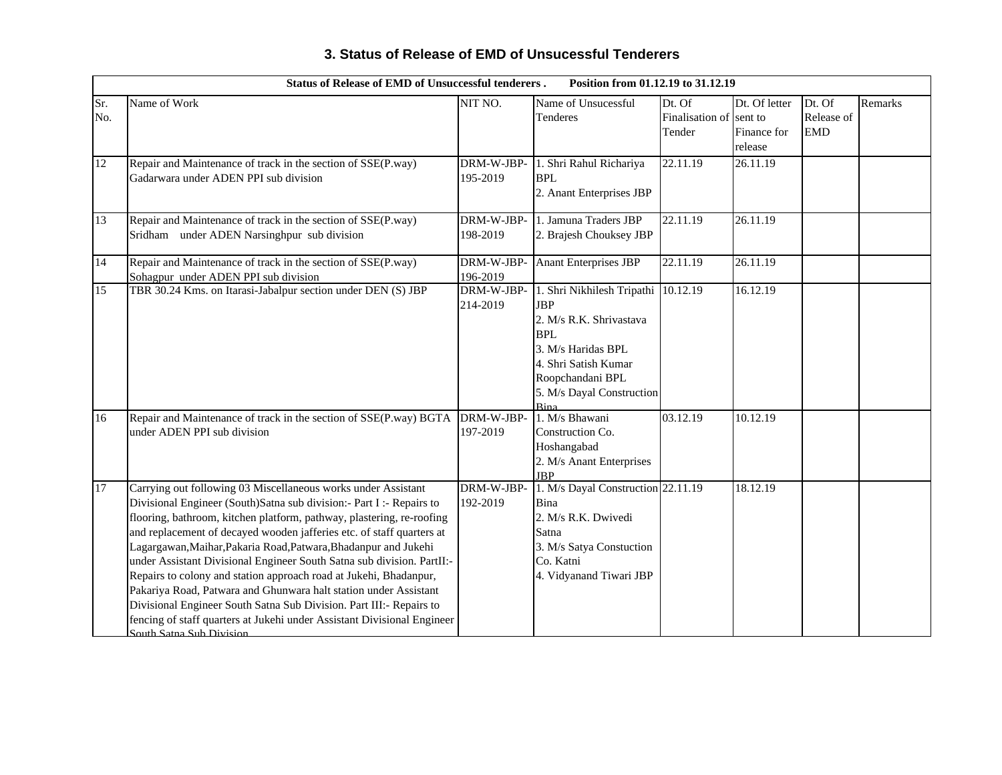|                 | <b>Status of Release of EMD of Unsuccessful tenderers.</b>                                                                                                                                                                                                                                                                                                                                                                                                                                                                                                                                                                                                                                                                                                   |                        | Position from 01.12.19 to 31.12.19                                                                                                                                                                |                                     |                                                    |                                    |         |
|-----------------|--------------------------------------------------------------------------------------------------------------------------------------------------------------------------------------------------------------------------------------------------------------------------------------------------------------------------------------------------------------------------------------------------------------------------------------------------------------------------------------------------------------------------------------------------------------------------------------------------------------------------------------------------------------------------------------------------------------------------------------------------------------|------------------------|---------------------------------------------------------------------------------------------------------------------------------------------------------------------------------------------------|-------------------------------------|----------------------------------------------------|------------------------------------|---------|
| Sr.<br>No.      | Name of Work                                                                                                                                                                                                                                                                                                                                                                                                                                                                                                                                                                                                                                                                                                                                                 | NIT NO.                | Name of Unsucessful<br>Tenderes                                                                                                                                                                   | Dt. Of<br>Finalisation of<br>Tender | Dt. Of letter<br>sent to<br>Finance for<br>release | Dt. Of<br>Release of<br><b>EMD</b> | Remarks |
| 12              | Repair and Maintenance of track in the section of SSE(P.way)<br>Gadarwara under ADEN PPI sub division                                                                                                                                                                                                                                                                                                                                                                                                                                                                                                                                                                                                                                                        | DRM-W-JBP-<br>195-2019 | 1. Shri Rahul Richariya<br><b>BPL</b><br>2. Anant Enterprises JBP                                                                                                                                 | 22.11.19                            | 26.11.19                                           |                                    |         |
| 13              | Repair and Maintenance of track in the section of SSE(P.way)<br>Sridham under ADEN Narsinghpur sub division                                                                                                                                                                                                                                                                                                                                                                                                                                                                                                                                                                                                                                                  | DRM-W-JBP-<br>198-2019 | 1. Jamuna Traders JBP<br>2. Brajesh Chouksey JBP                                                                                                                                                  | 22.11.19                            | 26.11.19                                           |                                    |         |
| 14              | Repair and Maintenance of track in the section of SSE(P.way)<br>Sohagpur under ADEN PPI sub division                                                                                                                                                                                                                                                                                                                                                                                                                                                                                                                                                                                                                                                         | DRM-W-JBP-<br>196-2019 | <b>Anant Enterprises JBP</b>                                                                                                                                                                      | 22.11.19                            | 26.11.19                                           |                                    |         |
| 15              | TBR 30.24 Kms. on Itarasi-Jabalpur section under DEN (S) JBP                                                                                                                                                                                                                                                                                                                                                                                                                                                                                                                                                                                                                                                                                                 | DRM-W-JBP-<br>214-2019 | 1. Shri Nikhilesh Tripathi 10.12.19<br><b>JBP</b><br>2. M/s R.K. Shrivastava<br><b>BPL</b><br>3. M/s Haridas BPL<br>4. Shri Satish Kumar<br>Roopchandani BPL<br>5. M/s Dayal Construction<br>Rina |                                     | 16.12.19                                           |                                    |         |
| 16              | Repair and Maintenance of track in the section of SSE(P.way) BGTA<br>under ADEN PPI sub division                                                                                                                                                                                                                                                                                                                                                                                                                                                                                                                                                                                                                                                             | DRM-W-JBP-<br>197-2019 | 1. M/s Bhawani<br>Construction Co.<br>Hoshangabad<br>2. M/s Anant Enterprises<br><b>JBP</b>                                                                                                       | 03.12.19                            | 10.12.19                                           |                                    |         |
| $\overline{17}$ | Carrying out following 03 Miscellaneous works under Assistant<br>Divisional Engineer (South)Satna sub division: - Part I :- Repairs to<br>flooring, bathroom, kitchen platform, pathway, plastering, re-roofing<br>and replacement of decayed wooden jafferies etc. of staff quarters at<br>Lagargawan, Maihar, Pakaria Road, Patwara, Bhadanpur and Jukehi<br>under Assistant Divisional Engineer South Satna sub division. PartII:-<br>Repairs to colony and station approach road at Jukehi, Bhadanpur,<br>Pakariya Road, Patwara and Ghunwara halt station under Assistant<br>Divisional Engineer South Satna Sub Division. Part III:- Repairs to<br>fencing of staff quarters at Jukehi under Assistant Divisional Engineer<br>South Satna Sub Division | DRM-W-JBP-<br>192-2019 | 1. M/s Dayal Construction 22.11.19<br>Bina<br>2. M/s R.K. Dwivedi<br>Satna<br>3. M/s Satya Constuction<br>Co. Katni<br>4. Vidyanand Tiwari JBP                                                    |                                     | 18.12.19                                           |                                    |         |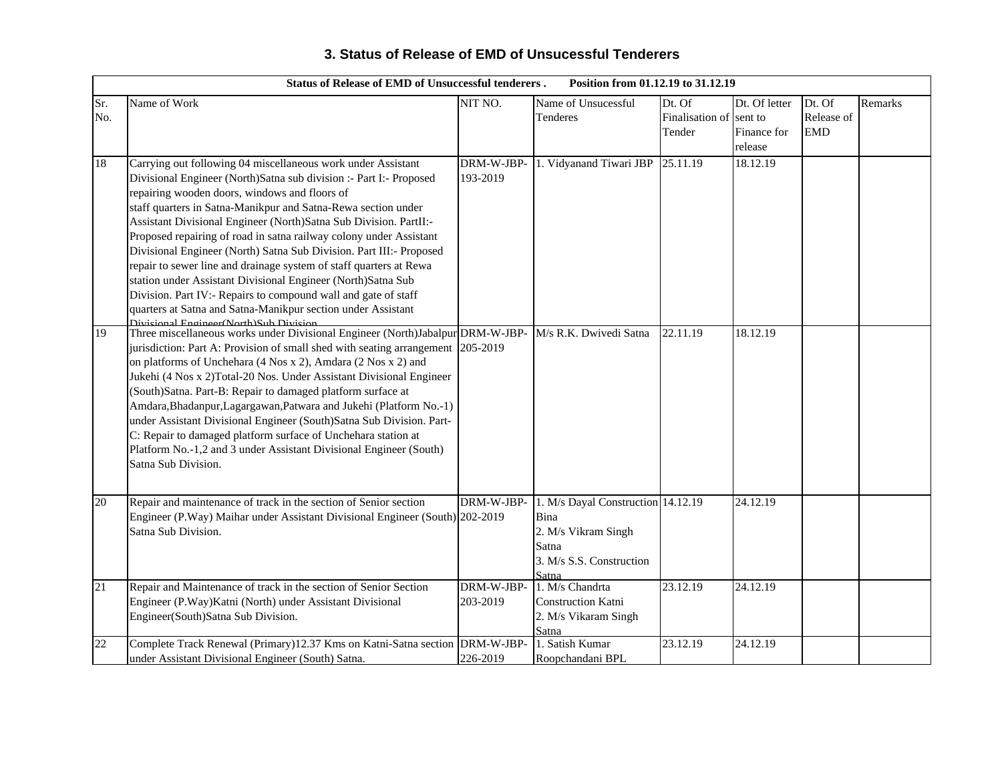|            | <b>Status of Release of EMD of Unsuccessful tenderers.</b><br>Position from 01.12.19 to 31.12.19                                                                                                                                                                                                                                                                                                                                                                                                                                                                                                                                                                                                                                                                                         |                        |                                                                                                                 |                                     |                                                    |                                    |         |  |  |
|------------|------------------------------------------------------------------------------------------------------------------------------------------------------------------------------------------------------------------------------------------------------------------------------------------------------------------------------------------------------------------------------------------------------------------------------------------------------------------------------------------------------------------------------------------------------------------------------------------------------------------------------------------------------------------------------------------------------------------------------------------------------------------------------------------|------------------------|-----------------------------------------------------------------------------------------------------------------|-------------------------------------|----------------------------------------------------|------------------------------------|---------|--|--|
| Sr.<br>No. | Name of Work                                                                                                                                                                                                                                                                                                                                                                                                                                                                                                                                                                                                                                                                                                                                                                             | NIT NO.                | Name of Unsucessful<br>Tenderes                                                                                 | Dt. Of<br>Finalisation of<br>Tender | Dt. Of letter<br>sent to<br>Finance for<br>release | Dt. Of<br>Release of<br><b>EMD</b> | Remarks |  |  |
| 18         | Carrying out following 04 miscellaneous work under Assistant<br>Divisional Engineer (North)Satna sub division :- Part I:- Proposed<br>repairing wooden doors, windows and floors of<br>staff quarters in Satna-Manikpur and Satna-Rewa section under<br>Assistant Divisional Engineer (North)Satna Sub Division. PartII:-<br>Proposed repairing of road in satna railway colony under Assistant<br>Divisional Engineer (North) Satna Sub Division. Part III:- Proposed<br>repair to sewer line and drainage system of staff quarters at Rewa<br>station under Assistant Divisional Engineer (North)Satna Sub<br>Division. Part IV:- Repairs to compound wall and gate of staff<br>quarters at Satna and Satna-Manikpur section under Assistant<br>Divisional Engineer(North)Sub Division | DRM-W-JBP-<br>193-2019 | 1. Vidyanand Tiwari JBP                                                                                         | 25.11.19                            | 18.12.19                                           |                                    |         |  |  |
| 19         | Three miscellaneous works under Divisional Engineer (North)Jabalpur DRM-W-JBP-<br>jurisdiction: Part A: Provision of small shed with seating arrangement 205-2019<br>on platforms of Unchehara (4 Nos x 2), Amdara (2 Nos x 2) and<br>Jukehi (4 Nos x 2)Total-20 Nos. Under Assistant Divisional Engineer<br>(South)Satna. Part-B: Repair to damaged platform surface at<br>Amdara, Bhadanpur, Lagargawan, Patwara and Jukehi (Platform No.-1)<br>under Assistant Divisional Engineer (South)Satna Sub Division. Part-<br>C: Repair to damaged platform surface of Unchehara station at<br>Platform No.-1,2 and 3 under Assistant Divisional Engineer (South)<br>Satna Sub Division.                                                                                                     |                        | M/s R.K. Dwivedi Satna                                                                                          | 22.11.19                            | 18.12.19                                           |                                    |         |  |  |
| 20         | Repair and maintenance of track in the section of Senior section<br>Engineer (P.Way) Maihar under Assistant Divisional Engineer (South) 202-2019<br>Satna Sub Division.                                                                                                                                                                                                                                                                                                                                                                                                                                                                                                                                                                                                                  | DRM-W-JBP-             | 1. M/s Dayal Construction 14.12.19<br>Bina<br>2. M/s Vikram Singh<br>Satna<br>3. M/s S.S. Construction<br>Satna |                                     | 24.12.19                                           |                                    |         |  |  |
| 21         | Repair and Maintenance of track in the section of Senior Section<br>Engineer (P.Way)Katni (North) under Assistant Divisional<br>Engineer(South)Satna Sub Division.                                                                                                                                                                                                                                                                                                                                                                                                                                                                                                                                                                                                                       | DRM-W-JBP-<br>203-2019 | 1. M/s Chandrta<br>Construction Katni<br>2. M/s Vikaram Singh<br>Satna                                          | 23.12.19                            | 24.12.19                                           |                                    |         |  |  |
| 22         | Complete Track Renewal (Primary)12.37 Kms on Katni-Satna section DRM-W-JBP-<br>under Assistant Divisional Engineer (South) Satna.                                                                                                                                                                                                                                                                                                                                                                                                                                                                                                                                                                                                                                                        | 226-2019               | 1. Satish Kumar<br>Roopchandani BPL                                                                             | 23.12.19                            | 24.12.19                                           |                                    |         |  |  |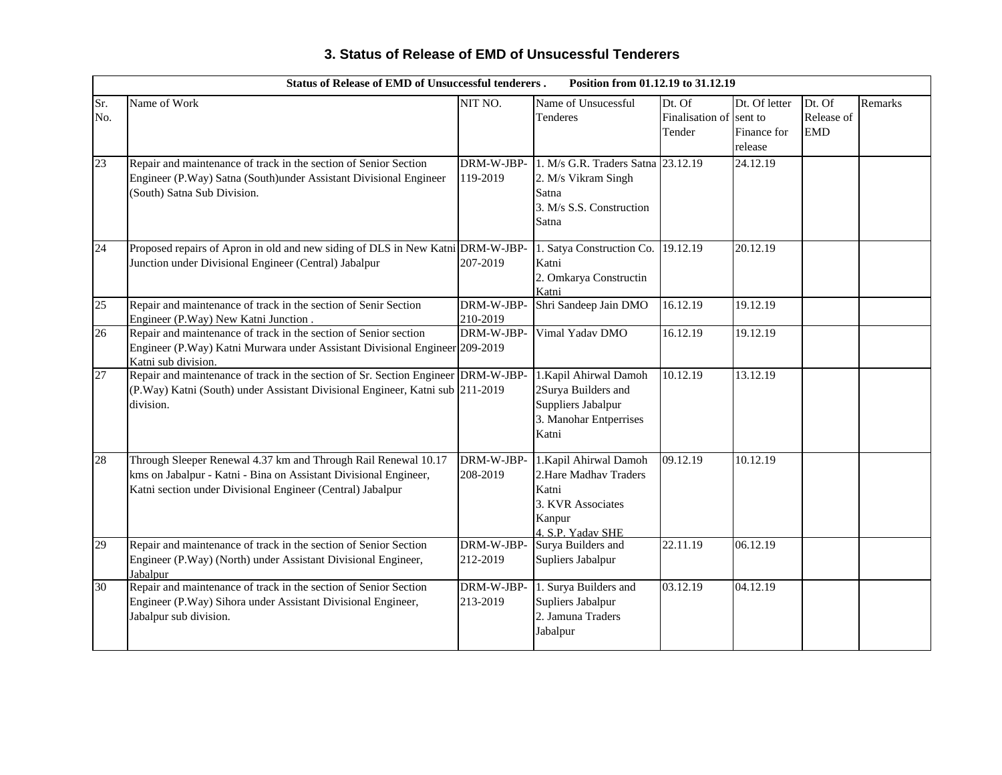|            | <b>Status of Release of EMD of Unsuccessful tenderers.</b>                                                                                                                                       |                        | Position from 01.12.19 to 31.12.19                                                                            |                                     |                                                    |                                    |         |
|------------|--------------------------------------------------------------------------------------------------------------------------------------------------------------------------------------------------|------------------------|---------------------------------------------------------------------------------------------------------------|-------------------------------------|----------------------------------------------------|------------------------------------|---------|
| Sr.<br>No. | Name of Work                                                                                                                                                                                     | NIT NO.                | Name of Unsucessful<br>Tenderes                                                                               | Dt. Of<br>Finalisation of<br>Tender | Dt. Of letter<br>sent to<br>Finance for<br>release | Dt. Of<br>Release of<br><b>EMD</b> | Remarks |
| 23         | Repair and maintenance of track in the section of Senior Section<br>Engineer (P.Way) Satna (South)under Assistant Divisional Engineer<br>(South) Satna Sub Division.                             | DRM-W-JBP-<br>119-2019 | 1. M/s G.R. Traders Satna 23.12.19<br>2. M/s Vikram Singh<br>Satna<br>3. M/s S.S. Construction<br>Satna       |                                     | 24.12.19                                           |                                    |         |
| 24         | Proposed repairs of Apron in old and new siding of DLS in New Katni DRM-W-JBP-<br>Junction under Divisional Engineer (Central) Jabalpur                                                          | 207-2019               | 1. Satya Construction Co.<br>Katni<br>2. Omkarya Constructin<br>Katni                                         | 19.12.19                            | 20.12.19                                           |                                    |         |
| 25         | Repair and maintenance of track in the section of Senir Section<br>Engineer (P.Way) New Katni Junction.                                                                                          | DRM-W-JBP-<br>210-2019 | Shri Sandeep Jain DMO                                                                                         | 16.12.19                            | 19.12.19                                           |                                    |         |
| 26         | Repair and maintenance of track in the section of Senior section<br>Engineer (P.Way) Katni Murwara under Assistant Divisional Engineer 209-2019<br>Katni sub division.                           | DRM-W-JBP-             | Vimal Yadav DMO                                                                                               | 16.12.19                            | 19.12.19                                           |                                    |         |
| 27         | Repair and maintenance of track in the section of Sr. Section Engineer DRM-W-JBP-<br>(P.Way) Katni (South) under Assistant Divisional Engineer, Katni sub 211-2019<br>division.                  |                        | 1. Kapil Ahirwal Damoh<br>2Surya Builders and<br>Suppliers Jabalpur<br>3. Manohar Entperrises<br>Katni        | 10.12.19                            | 13.12.19                                           |                                    |         |
| 28         | Through Sleeper Renewal 4.37 km and Through Rail Renewal 10.17<br>kms on Jabalpur - Katni - Bina on Assistant Divisional Engineer,<br>Katni section under Divisional Engineer (Central) Jabalpur | DRM-W-JBP-<br>208-2019 | 1. Kapil Ahirwal Damoh<br>2. Hare Madhav Traders<br>Katni<br>3. KVR Associates<br>Kanpur<br>4. S.P. Yadav SHE | 09.12.19                            | 10.12.19                                           |                                    |         |
| 29         | Repair and maintenance of track in the section of Senior Section<br>Engineer (P.Way) (North) under Assistant Divisional Engineer,<br>Jabalpur                                                    | DRM-W-JBP-<br>212-2019 | Surya Builders and<br>Supliers Jabalpur                                                                       | 22.11.19                            | 06.12.19                                           |                                    |         |
| 30         | Repair and maintenance of track in the section of Senior Section<br>Engineer (P.Way) Sihora under Assistant Divisional Engineer,<br>Jabalpur sub division.                                       | DRM-W-JBP-<br>213-2019 | 1. Surya Builders and<br>Supliers Jabalpur<br>2. Jamuna Traders<br>Jabalpur                                   | 03.12.19                            | 04.12.19                                           |                                    |         |